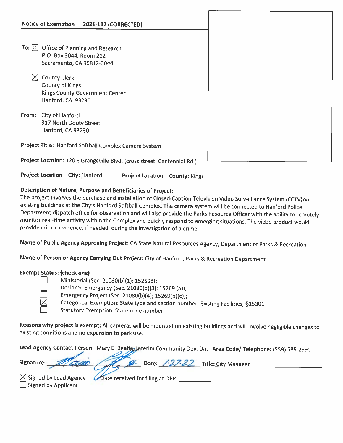- To:  $\boxtimes$  Office of Planning and Research P.O. Box 3044, Room 212 Sacramento, CA 95812-3044
	- $\boxtimes$  County Clerk County of Kings Kings County Government Center Hanford, CA 93230
- From: City of Hanford 317 North Douty Street Hanford, CA 93230

Project Title: Hanford Softball Complex Camera System

Project Location: <sup>120</sup> <sup>E</sup> Grangeville Blvd. (cross street: Centennial Rd.)

Project Location — City: Hanford Project Location — County: Kings

## Description of Nature, Purpose and Beneficiaries of Project:

The project involves the purchase and installation of Closed-Caption Television Video Surveillance System (CCTV)on existing buildings at the City's Hanford Softball Complex. The camera system will be connected to Hanford Police Department dispatch office for observation and will also provide the Parks Resource Officer with the ability to remotely monitor real-time activity within the Complex and quickly respond to emerging situations. The video product would provide critical evidence, if needed, during the investigation of <sup>a</sup> crime.

Name of Public Agency Approving Project: CA State Natural Resources Agency, Department of Parks & Recreation

Name of Person or Agency Carrying Out Project: City of Hanford, Parks & Recreation Department

## Exempt Status: (check one)

D Ministerial (Sec. 21080(b)(1); 152698);

D Declared Emergency (Sec. 21080(b)(3); <sup>15269</sup> (a));

Emergency Project (Sec. 21080(b)(4); 15269(b)(c));

Categorical Exemption: State type and section number: Existing Facilities, §15301

 $\Box$  Statutory Exemption. State code number:

Reasons why project is exempt: All cameras will be mounted on existing buildings and will involve negligible changes to existing conditions and no expansion to park use.

Lead Agency Contact Person: Mary E. Beation Interim Community Dev. Dir. Area Code/ Telephone: (559) 585-2590 24

|        |  | Janature: 1000 - 2 Date: 127.22 Title: City Manager |  |
|--------|--|-----------------------------------------------------|--|
| $\sim$ |  |                                                     |  |

 $\Box$  Signed by Applicant

 $\boxtimes$  Signed by Lead Agency *Co*ate received for filing at OPR:  $\frac{1}{\sqrt{2}}$